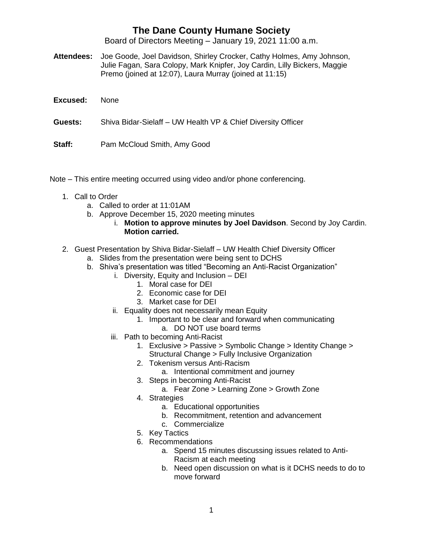## **The Dane County Humane Society**

Board of Directors Meeting – January 19, 2021 11:00 a.m.

- **Attendees:** Joe Goode, Joel Davidson, Shirley Crocker, Cathy Holmes, Amy Johnson, Julie Fagan, Sara Colopy, Mark Knipfer, Joy Cardin, Lilly Bickers, Maggie Premo (joined at 12:07), Laura Murray (joined at 11:15)
- **Excused:** None

**Guests:** Shiva Bidar-Sielaff – UW Health VP & Chief Diversity Officer

**Staff:** Pam McCloud Smith, Amy Good

Note – This entire meeting occurred using video and/or phone conferencing.

- 1. Call to Order
	- a. Called to order at 11:01AM
	- b. Approve December 15, 2020 meeting minutes
		- i. **Motion to approve minutes by Joel Davidson**. Second by Joy Cardin. **Motion carried.**
- 2. Guest Presentation by Shiva Bidar-Sielaff UW Health Chief Diversity Officer
	- a. Slides from the presentation were being sent to DCHS
	- b. Shiva's presentation was titled "Becoming an Anti-Racist Organization"
		- i. Diversity, Equity and Inclusion DEI
			- 1. Moral case for DEI
			- 2. Economic case for DEI
			- 3. Market case for DEI
		- ii. Equality does not necessarily mean Equity
			- 1. Important to be clear and forward when communicating
			- a. DO NOT use board terms
		- iii. Path to becoming Anti-Racist
			- 1. Exclusive > Passive > Symbolic Change > Identity Change > Structural Change > Fully Inclusive Organization
			- 2. Tokenism versus Anti-Racism
				- a. Intentional commitment and journey
			- 3. Steps in becoming Anti-Racist
				- a. Fear Zone > Learning Zone > Growth Zone
			- 4. Strategies
				- a. Educational opportunities
				- b. Recommitment, retention and advancement
				- c. Commercialize
			- 5. Key Tactics
			- 6. Recommendations
				- a. Spend 15 minutes discussing issues related to Anti-Racism at each meeting
				- b. Need open discussion on what is it DCHS needs to do to move forward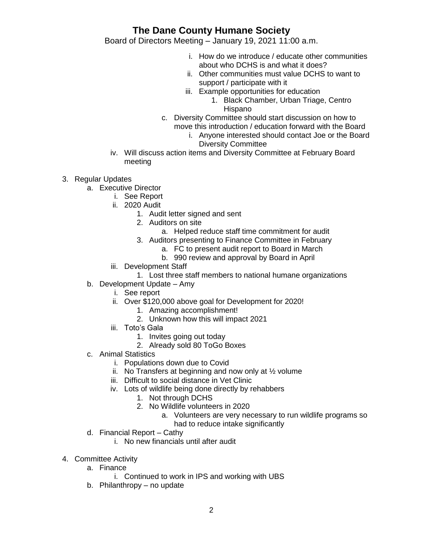## **The Dane County Humane Society**

Board of Directors Meeting – January 19, 2021 11:00 a.m.

- i. How do we introduce / educate other communities about who DCHS is and what it does?
- ii. Other communities must value DCHS to want to support / participate with it
- iii. Example opportunities for education
	- 1. Black Chamber, Urban Triage, Centro Hispano
- c. Diversity Committee should start discussion on how to
	- move this introduction / education forward with the Board
		- i. Anyone interested should contact Joe or the Board Diversity Committee
- iv. Will discuss action items and Diversity Committee at February Board meeting
- 3. Regular Updates
	- a. Executive Director
		- i. See Report
		- ii. 2020 Audit
			- 1. Audit letter signed and sent
			- 2. Auditors on site
				- a. Helped reduce staff time commitment for audit
			- 3. Auditors presenting to Finance Committee in February
				- a. FC to present audit report to Board in March
				- b. 990 review and approval by Board in April
		- iii. Development Staff
			- 1. Lost three staff members to national humane organizations
	- b. Development Update Amy
		- i. See report
		- ii. Over \$120,000 above goal for Development for 2020!
			- 1. Amazing accomplishment!
			- 2. Unknown how this will impact 2021
		- iii. Toto's Gala
			- 1. Invites going out today
			- 2. Already sold 80 ToGo Boxes
	- c. Animal Statistics
		- i. Populations down due to Covid
		- ii. No Transfers at beginning and now only at  $\frac{1}{2}$  volume
		- iii. Difficult to social distance in Vet Clinic
		- iv. Lots of wildlife being done directly by rehabbers
			- 1. Not through DCHS
			- 2. No Wildlife volunteers in 2020
				- a. Volunteers are very necessary to run wildlife programs so had to reduce intake significantly
	- d. Financial Report Cathy
		- i. No new financials until after audit
- 4. Committee Activity
	- a. Finance
		- i. Continued to work in IPS and working with UBS
	- b. Philanthropy no update